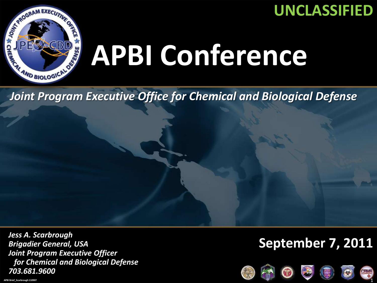

### **UNCLASSIFIED**

#### Joint Program Executive Office for Chemical and Biological Defense *Joint Program Executive Office for Chemical and Biological Defense*

*Jess A. Scarbrough Brigadier General, USA Joint Program Executive Officer for Chemical and Biological Defense 703.681.9600*

#### **September 7, 2011**

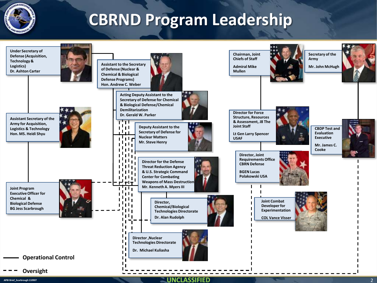

# **CBRND Program Leadership**

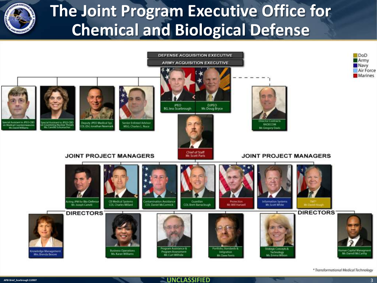

## **The Joint Program Executive Office for Chemical and Biological Defense**



\* Transformational Medical Technology